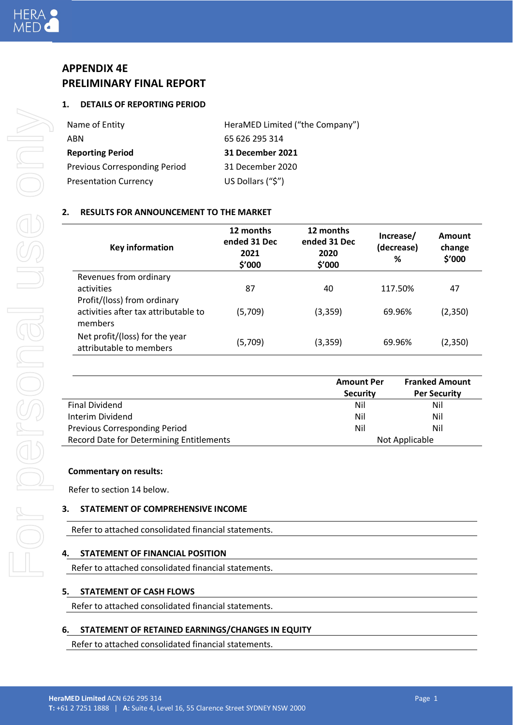## **APPENDIX 4E PRELIMINARY FINAL REPORT**

## **1. DETAILS OF REPORTING PERIOD**

| Name of Entity                       | HeraMED Limited ("the Company") |
|--------------------------------------|---------------------------------|
| ABN                                  | 65 626 295 314                  |
| <b>Reporting Period</b>              | <b>31 December 2021</b>         |
| <b>Previous Corresponding Period</b> | 31 December 2020                |
| <b>Presentation Currency</b>         | US Dollars ("\$")               |

## **2. RESULTS FOR ANNOUNCEMENT TO THE MARKET**

| <b>Key information</b>                                    | 12 months<br>ended 31 Dec<br>2021<br>\$′000 | 12 months<br>ended 31 Dec<br>2020<br>\$′000 | Increase/<br>(decrease)<br>% | Amount<br>change<br>\$'000 |
|-----------------------------------------------------------|---------------------------------------------|---------------------------------------------|------------------------------|----------------------------|
| Revenues from ordinary                                    |                                             |                                             |                              |                            |
| activities                                                | 87                                          | 40                                          | 117.50%                      | 47                         |
| Profit/(loss) from ordinary                               |                                             |                                             |                              |                            |
| activities after tax attributable to                      | (5,709)                                     | (3, 359)                                    | 69.96%                       | (2,350)                    |
| members                                                   |                                             |                                             |                              |                            |
| Net profit/(loss) for the year<br>attributable to members | (5,709)                                     | (3, 359)                                    | 69.96%                       | (2,350)                    |

|                                          | <b>Amount Per</b> | <b>Franked Amount</b> |  |
|------------------------------------------|-------------------|-----------------------|--|
|                                          | <b>Security</b>   | <b>Per Security</b>   |  |
| Final Dividend                           | Nil               | Nil                   |  |
| Interim Dividend                         | Nil               | Nil                   |  |
| Previous Corresponding Period            | Nil               | Nil                   |  |
| Record Date for Determining Entitlements |                   | Not Applicable        |  |

## **Commentary on results:**

Refer to section 14 below.

## **3. STATEMENT OF COMPREHENSIVE INCOME**

Refer to attached consolidated financial statements.

## **4. STATEMENT OF FINANCIAL POSITION**

Refer to attached consolidated financial statements.

## **5. STATEMENT OF CASH FLOWS**

Refer to attached consolidated financial statements.

## **6. STATEMENT OF RETAINED EARNINGS/CHANGES IN EQUITY**

Refer to attached consolidated financial statements.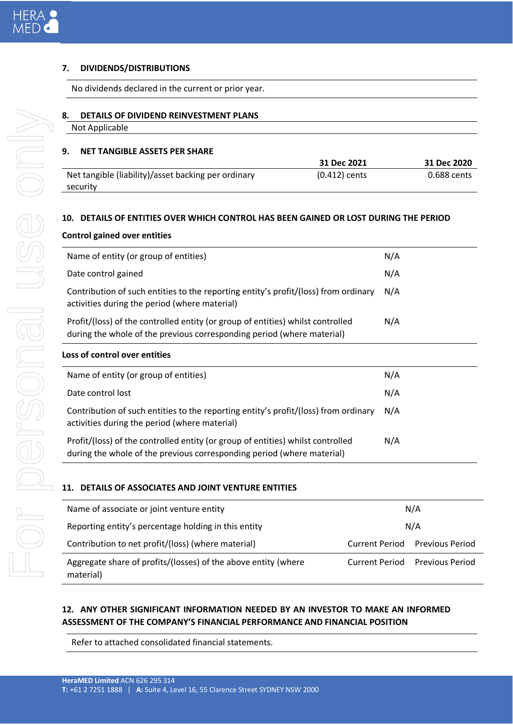## **7. DIVIDENDS/DISTRIBUTIONS**

No dividends declared in the current or prior year.

- **8. DETAILS OF DIVIDEND REINVESTMENT PLANS**
	- Not Applicable

## **9. NET TANGIBLE ASSETS PER SHARE**

|                                                     | 31 Dec 2021     | 31 Dec 2020 |
|-----------------------------------------------------|-----------------|-------------|
| Net tangible (liability)/asset backing per ordinary | $(0.412)$ cents | 0.688 cents |
| security                                            |                 |             |

## **10. DETAILS OF ENTITIES OVER WHICH CONTROL HAS BEEN GAINED OR LOST DURING THE PERIOD**

## **Control gained over entities**

| Name of entity (or group of entities)                                                                                                                     | N/A |
|-----------------------------------------------------------------------------------------------------------------------------------------------------------|-----|
| Date control gained                                                                                                                                       | N/A |
| Contribution of such entities to the reporting entity's profit/(loss) from ordinary<br>activities during the period (where material)                      | N/A |
| Profit/(loss) of the controlled entity (or group of entities) whilst controlled<br>during the whole of the previous corresponding period (where material) | N/A |
| Loss of control over entities                                                                                                                             |     |
| Name of entity (or group of entities)                                                                                                                     | N/A |
| Date control lost                                                                                                                                         | N/A |
| Contribution of such entities to the reporting entity's profit/(loss) from ordinary<br>activities during the period (where material)                      | N/A |
| Profit/(loss) of the controlled entity (or group of entities) whilst controlled<br>during the whole of the previous corresponding period (where material) | N/A |

## **11. DETAILS OF ASSOCIATES AND JOINT VENTURE ENTITIES**

| Name of associate or joint venture entity                                   | N/A                   |                        |
|-----------------------------------------------------------------------------|-----------------------|------------------------|
| Reporting entity's percentage holding in this entity                        | N/A                   |                        |
| Contribution to net profit/(loss) (where material)                          | <b>Current Period</b> | <b>Previous Period</b> |
| Aggregate share of profits/(losses) of the above entity (where<br>material) | <b>Current Period</b> | <b>Previous Period</b> |

## **12. ANY OTHER SIGNIFICANT INFORMATION NEEDED BY AN INVESTOR TO MAKE AN INFORMED ASSESSMENT OF THE COMPANY'S FINANCIAL PERFORMANCE AND FINANCIAL POSITION**

Refer to attached consolidated financial statements.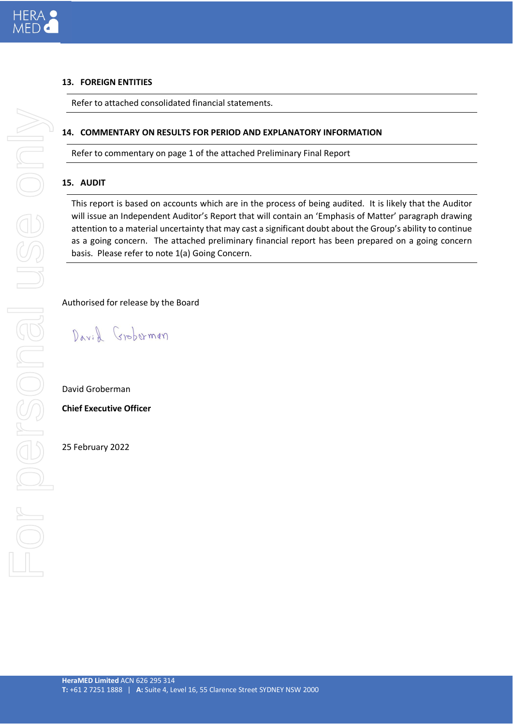## **13. FOREIGN ENTITIES**

Refer to attached consolidated financial statements.

## **14. COMMENTARY ON RESULTS FOR PERIOD AND EXPLANATORY INFORMATION**

Refer to commentary on page 1 of the attached Preliminary Final Report

## **15. AUDIT**

This report is based on accounts which are in the process of being audited. It is likely that the Auditor will issue an Independent Auditor's Report that will contain an 'Emphasis of Matter' paragraph drawing attention to a material uncertainty that may cast a significant doubt about the Group's ability to continue as a going concern. The attached preliminary financial report has been prepared on a going concern basis. Please refer to note 1(a) Going Concern.

Authorised for release by the Board

David Groberman

David Groberman

**Chief Executive Officer**

25 February 2022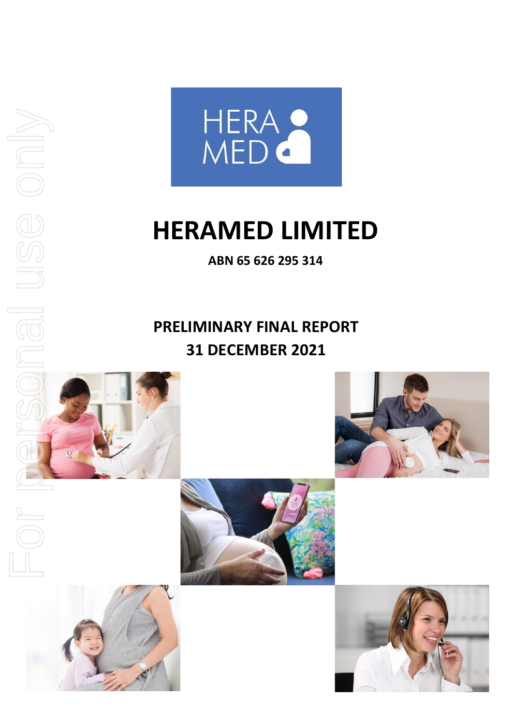

**ABN 65 626 295 314**

## **PRELIMINARY FINAL REPORT 31 DECEMBER 2021**

For personal use only

nel

 $\begin{matrix} \boxed{\Box} \\ \boxed{\Box} \end{matrix}$ 

USE onl





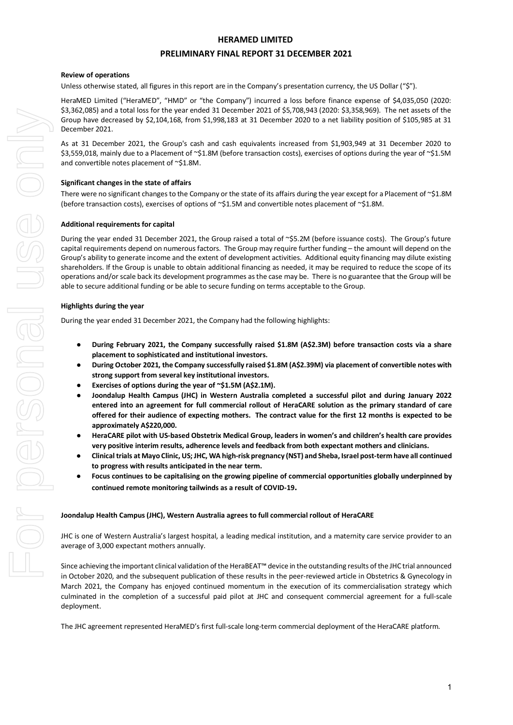#### **PRELIMINARY FINAL REPORT 31 DECEMBER 2021**

#### **Review of operations**

Unless otherwise stated, all figures in this report are in the Company's presentation currency, the US Dollar ("\$").

HeraMED Limited ("HeraMED", "HMD" or "the Company") incurred a loss before finance expense of \$4,035,050 (2020: \$3,362,085) and a total loss for the year ended 31 December 2021 of \$5,708,943 (2020: \$3,358,969). The net assets of the Group have decreased by \$2,104,168, from \$1,998,183 at 31 December 2020 to a net liability position of \$105,985 at 31 December 2021.

As at 31 December 2021, the Group's cash and cash equivalents increased from \$1,903,949 at 31 December 2020 to \$3,559,018, mainly due to a Placement of ~\$1.8M (before transaction costs), exercises of options during the year of ~\$1.5M and convertible notes placement of ~\$1.8M.

#### **Significant changes in the state of affairs**

There were no significant changes to the Company or the state of its affairs during the year except for a Placement of  $\sim$ \$1.8M (before transaction costs), exercises of options of ~\$1.5M and convertible notes placement of ~\$1.8M.

#### **Additional requirements for capital**

During the year ended 31 December 2021, the Group raised a total of ~\$5.2M (before issuance costs). The Group's future capital requirements depend on numerous factors. The Group may require further funding – the amount will depend on the Group's ability to generate income and the extent of development activities. Additional equity financing may dilute existing shareholders. If the Group is unable to obtain additional financing as needed, it may be required to reduce the scope of its operations and/or scale back its development programmes as the case may be. There is no guarantee that the Group will be able to secure additional funding or be able to secure funding on terms acceptable to the Group.

#### **Highlights during the year**

During the year ended 31 December 2021, the Company had the following highlights:

- **During February 2021, the Company successfully raised \$1.8M (A\$2.3M) before transaction costs via a share placement to sophisticated and institutional investors.**
- **During October 2021, the Company successfully raised \$1.8M (A\$2.39M) via placement of convertible notes with strong support from several key institutional investors.**
- **Exercises of options during the year of ~\$1.5M (A\$2.1M).**
- **Joondalup Health Campus (JHC) in Western Australia completed a successful pilot and during January 2022 entered into an agreement for full commercial rollout of HeraCARE solution as the primary standard of care offered for their audience of expecting mothers. The contract value for the first 12 months is expected to be approximately A\$220,000.**
- **HeraCARE pilot with US-based Obstetrix Medical Group, leaders in women's and children's health care provides very positive interim results, adherence levels and feedback from both expectant mothers and clinicians.**
- **Clinical trials at Mayo Clinic, US; JHC, WA high-risk pregnancy (NST) and Sheba, Israel post-term have all continued to progress with results anticipated in the near term.**
- **Focus continues to be capitalising on the growing pipeline of commercial opportunities globally underpinned by continued remote monitoring tailwinds as a result of COVID-19.**

#### **Joondalup Health Campus (JHC), Western Australia agrees to full commercial rollout of HeraCARE**

JHC is one of Western Australia's largest hospital, a leading medical institution, and a maternity care service provider to an average of 3,000 expectant mothers annually.

Since achieving the important clinical validation of the HeraBEAT™ device in the outstanding results of the JHC trial announced in October 2020, and the subsequent publication of these results in the peer-reviewed article in Obstetrics & Gynecology in March 2021, the Company has enjoyed continued momentum in the execution of its commercialisation strategy which culminated in the completion of a successful paid pilot at JHC and consequent commercial agreement for a full-scale deployment.

The JHC agreement represented HeraMED's first full-scale long-term commercial deployment of the HeraCARE platform.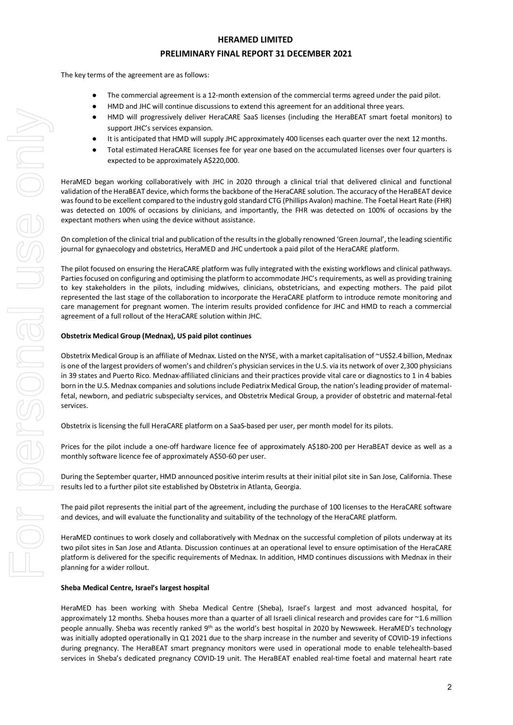#### **PRELIMINARY FINAL REPORT 31 DECEMBER 2021**

The key terms of the agreement are as follows:

- The commercial agreement is a 12-month extension of the commercial terms agreed under the paid pilot.
- HMD and JHC will continue discussions to extend this agreement for an additional three years.
- HMD will progressively deliver HeraCARE SaaS licenses (including the HeraBEAT smart foetal monitors) to support JHC's services expansion.
- It is anticipated that HMD will supply JHC approximately 400 licenses each quarter over the next 12 months.
- Total estimated HeraCARE licenses fee for year one based on the accumulated licenses over four quarters is expected to be approximately A\$220,000.

HeraMED began working collaboratively with JHC in 2020 through a clinical trial that delivered clinical and functional validation of the HeraBEAT device, which forms the backbone of the HeraCARE solution. The accuracy of the HeraBEAT device was found to be excellent compared to the industry gold standard CTG (Phillips Avalon) machine. The Foetal Heart Rate (FHR) was detected on 100% of occasions by clinicians, and importantly, the FHR was detected on 100% of occasions by the expectant mothers when using the device without assistance.

On completion of the clinical trial and publication of the results in the globally renowned 'Green Journal', the leading scientific journal for gynaecology and obstetrics, HeraMED and JHC undertook a paid pilot of the HeraCARE platform.

The pilot focused on ensuring the HeraCARE platform was fully integrated with the existing workflows and clinical pathways. Parties focused on configuring and optimising the platform to accommodate JHC's requirements, as well as providing training to key stakeholders in the pilots, including midwives, clinicians, obstetricians, and expecting mothers. The paid pilot represented the last stage of the collaboration to incorporate the HeraCARE platform to introduce remote monitoring and care management for pregnant women. The interim results provided confidence for JHC and HMD to reach a commercial agreement of a full rollout of the HeraCARE solution within JHC.

#### **Obstetrix Medical Group (Mednax), US paid pilot continues**

Obstetrix Medical Group is an affiliate of Mednax. Listed on the NYSE, with a market capitalisation of ~US\$2.4 billion, Mednax is one of the largest providers of women's and children's physician services in the U.S. via its network of over 2,300 physicians in 39 states and Puerto Rico. Mednax-affiliated clinicians and their practices provide vital care or diagnostics to 1 in 4 babies born in the U.S. Mednax companies and solutions include Pediatrix Medical Group, the nation's leading provider of maternalfetal, newborn, and pediatric subspecialty services, and Obstetrix Medical Group, a provider of obstetric and maternal-fetal services.

Obstetrix is licensing the full HeraCARE platform on a SaaS-based per user, per month model for its pilots.

Prices for the pilot include a one-off hardware licence fee of approximately A\$180-200 per HeraBEAT device as well as a monthly software licence fee of approximately A\$50-60 per user.

During the September quarter, HMD announced positive interim results at their initial pilot site in San Jose, California. These results led to a further pilot site established by Obstetrix in Atlanta, Georgia.

The paid pilot represents the initial part of the agreement, including the purchase of 100 licenses to the HeraCARE software and devices, and will evaluate the functionality and suitability of the technology of the HeraCARE platform.

HeraMED continues to work closely and collaboratively with Mednax on the successful completion of pilots underway at its two pilot sites in San Jose and Atlanta. Discussion continues at an operational level to ensure optimisation of the HeraCARE platform is delivered for the specific requirements of Mednax. In addition, HMD continues discussions with Mednax in their planning for a wider rollout.

#### **Sheba Medical Centre, Israel's largest hospital**

HeraMED has been working with Sheba Medical Centre (Sheba), Israel's largest and most advanced hospital, for approximately 12 months. Sheba houses more than a quarter of all Israeli clinical research and provides care for ~1.6 million people annually. Sheba was recently ranked 9<sup>th</sup> as the world's best hospital in 2020 by Newsweek. HeraMED's technology was initially adopted operationally in Q1 2021 due to the sharp increase in the number and severity of COVID-19 infections during pregnancy. The HeraBEAT smart pregnancy monitors were used in operational mode to enable telehealth-based services in Sheba's dedicated pregnancy COVID-19 unit. The HeraBEAT enabled real-time foetal and maternal heart rate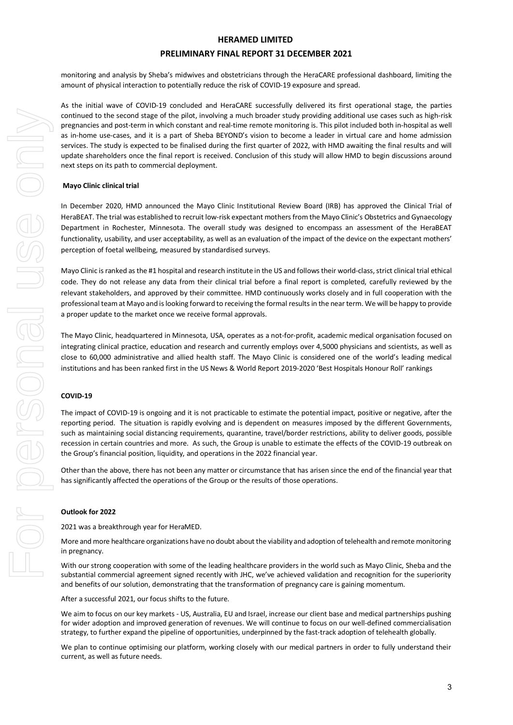#### **PRELIMINARY FINAL REPORT 31 DECEMBER 2021**

monitoring and analysis by Sheba's midwives and obstetricians through the HeraCARE professional dashboard, limiting the amount of physical interaction to potentially reduce the risk of COVID-19 exposure and spread.

As the initial wave of COVID-19 concluded and HeraCARE successfully delivered its first operational stage, the parties continued to the second stage of the pilot, involving a much broader study providing additional use cases such as high-risk pregnancies and post-term in which constant and real-time remote monitoring is. This pilot included both in-hospital as well as in-home use-cases, and it is a part of Sheba BEYOND's vision to become a leader in virtual care and home admission services. The study is expected to be finalised during the first quarter of 2022, with HMD awaiting the final results and will update shareholders once the final report is received. Conclusion of this study will allow HMD to begin discussions around next steps on its path to commercial deployment.

#### **Mayo Clinic clinical trial**

In December 2020, HMD announced the Mayo Clinic Institutional Review Board (IRB) has approved the Clinical Trial of HeraBEAT. The trial was established to recruit low-risk expectant mothers from the Mayo Clinic's Obstetrics and Gynaecology Department in Rochester, Minnesota. The overall study was designed to encompass an assessment of the HeraBEAT functionality, usability, and user acceptability, as well as an evaluation of the impact of the device on the expectant mothers' perception of foetal wellbeing, measured by standardised surveys.

Mayo Clinic is ranked as the #1 hospital and research institute in the US and follows their world-class, strict clinical trial ethical code. They do not release any data from their clinical trial before a final report is completed, carefully reviewed by the relevant stakeholders, and approved by their committee. HMD continuously works closely and in full cooperation with the professional team at Mayo and is looking forward to receiving the formal results in the near term. We will be happy to provide a proper update to the market once we receive formal approvals.

The Mayo Clinic, headquartered in Minnesota, USA, operates as a not-for-profit, academic medical organisation focused on integrating clinical practice, education and research and currently employs over 4,5000 physicians and scientists, as well as close to 60,000 administrative and allied health staff. The Mayo Clinic is considered one of the world's leading medical institutions and has been ranked first in the US News & World Report 2019-2020 'Best Hospitals Honour Roll' rankings

#### **COVID-19**

The impact of COVID-19 is ongoing and it is not practicable to estimate the potential impact, positive or negative, after the reporting period. The situation is rapidly evolving and is dependent on measures imposed by the different Governments, such as maintaining social distancing requirements, quarantine, travel/border restrictions, ability to deliver goods, possible recession in certain countries and more. As such, the Group is unable to estimate the effects of the COVID-19 outbreak on the Group's financial position, liquidity, and operations in the 2022 financial year.

Other than the above, there has not been any matter or circumstance that has arisen since the end of the financial year that has significantly affected the operations of the Group or the results of those operations.

#### **Outlook for 2022**

2021 was a breakthrough year for HeraMED.

More and more healthcare organizations have no doubt about the viability and adoption of telehealth and remote monitoring in pregnancy.

With our strong cooperation with some of the leading healthcare providers in the world such as Mayo Clinic, Sheba and the substantial commercial agreement signed recently with JHC, we've achieved validation and recognition for the superiority and benefits of our solution, demonstrating that the transformation of pregnancy care is gaining momentum.

After a successful 2021, our focus shifts to the future.

We aim to focus on our key markets - US, Australia, EU and Israel, increase our client base and medical partnerships pushing for wider adoption and improved generation of revenues. We will continue to focus on our well-defined commercialisation strategy, to further expand the pipeline of opportunities, underpinned by the fast-track adoption of telehealth globally.

We plan to continue optimising our platform, working closely with our medical partners in order to fully understand their current, as well as future needs.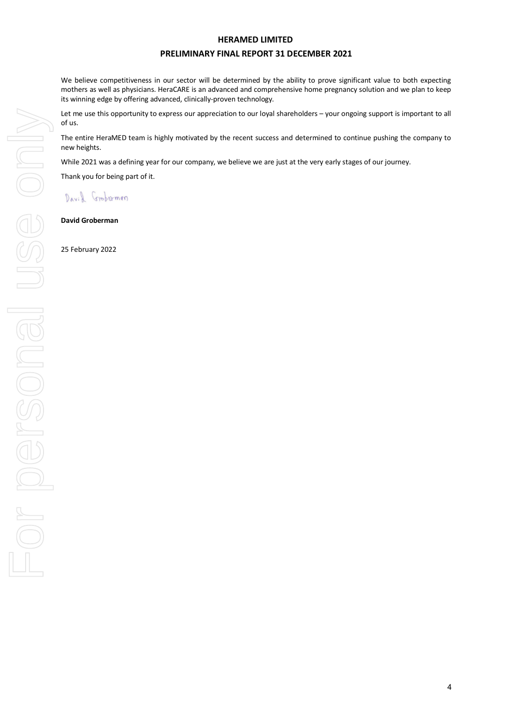#### **PRELIMINARY FINAL REPORT 31 DECEMBER 2021**

We believe competitiveness in our sector will be determined by the ability to prove significant value to both expecting mothers as well as physicians. HeraCARE is an advanced and comprehensive home pregnancy solution and we plan to keep its winning edge by offering advanced, clinically-proven technology.

Let me use this opportunity to express our appreciation to our loyal shareholders – your ongoing support is important to all of us.

The entire HeraMED team is highly motivated by the recent success and determined to continue pushing the company to new heights.

While 2021 was a defining year for our company, we believe we are just at the very early stages of our journey.

Thank you for being part of it.

David Grobermon

**David Groberman**

25 February 2022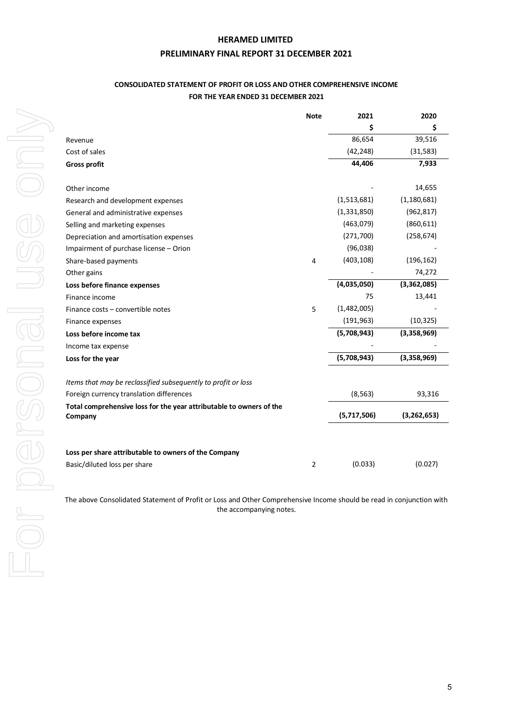#### **PRELIMINARY FINAL REPORT 31 DECEMBER 2021**

## **CONSOLIDATED STATEMENT OF PROFIT OR LOSS AND OTHER COMPREHENSIVE INCOME FOR THE YEAR ENDED 31 DECEMBER 2021**

|                                                                                | <b>Note</b>    | 2021        | 2020          |
|--------------------------------------------------------------------------------|----------------|-------------|---------------|
|                                                                                |                | \$          | \$            |
| Revenue                                                                        |                | 86,654      | 39,516        |
| Cost of sales                                                                  |                | (42, 248)   | (31, 583)     |
| <b>Gross profit</b>                                                            |                | 44,406      | 7,933         |
|                                                                                |                |             |               |
| Other income                                                                   |                |             | 14,655        |
| Research and development expenses                                              |                | (1,513,681) | (1, 180, 681) |
| General and administrative expenses                                            |                | (1,331,850) | (962, 817)    |
| Selling and marketing expenses                                                 |                | (463,079)   | (860, 611)    |
| Depreciation and amortisation expenses                                         |                | (271, 700)  | (258, 674)    |
| Impairment of purchase license - Orion                                         |                | (96,038)    |               |
| Share-based payments                                                           | 4              | (403, 108)  | (196, 162)    |
| Other gains                                                                    |                |             | 74,272        |
| Loss before finance expenses                                                   |                | (4,035,050) | (3,362,085)   |
| Finance income                                                                 |                | 75          | 13,441        |
| Finance costs - convertible notes                                              | 5              | (1,482,005) |               |
| Finance expenses                                                               |                | (191, 963)  | (10, 325)     |
| Loss before income tax                                                         |                | (5,708,943) | (3,358,969)   |
| Income tax expense                                                             |                |             |               |
| Loss for the year                                                              |                | (5,708,943) | (3,358,969)   |
|                                                                                |                |             |               |
| Items that may be reclassified subsequently to profit or loss                  |                |             |               |
| Foreign currency translation differences                                       |                | (8, 563)    | 93,316        |
| Total comprehensive loss for the year attributable to owners of the<br>Company |                | (5,717,506) | (3,262,653)   |
|                                                                                |                |             |               |
| Loss per share attributable to owners of the Company                           |                |             |               |
| Basic/diluted loss per share                                                   | $\overline{2}$ | (0.033)     | (0.027)       |

The above Consolidated Statement of Profit or Loss and Other Comprehensive Income should be read in conjunction with the accompanying notes.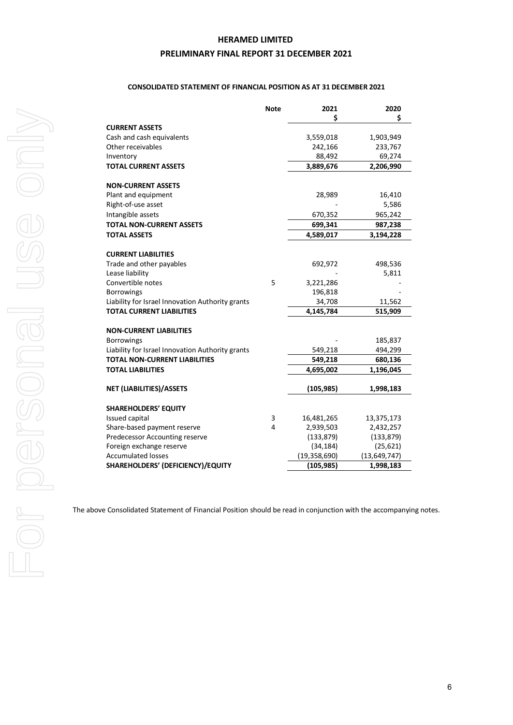## **PRELIMINARY FINAL REPORT 31 DECEMBER 2021**

#### **CONSOLIDATED STATEMENT OF FINANCIAL POSITION AS AT 31 DECEMBER 2021**

|                                                  | <b>Note</b> | 2021           | 2020           |
|--------------------------------------------------|-------------|----------------|----------------|
|                                                  |             | Ś              | Ś              |
| <b>CURRENT ASSETS</b>                            |             |                |                |
| Cash and cash equivalents                        |             | 3,559,018      | 1,903,949      |
| Other receivables                                |             | 242,166        | 233,767        |
| Inventory                                        |             | 88,492         | 69,274         |
| <b>TOTAL CURRENT ASSETS</b>                      |             | 3,889,676      | 2,206,990      |
|                                                  |             |                |                |
| <b>NON-CURRENT ASSETS</b>                        |             |                |                |
| Plant and equipment                              |             | 28,989         | 16,410         |
| Right-of-use asset                               |             |                | 5,586          |
| Intangible assets                                |             | 670,352        | 965,242        |
| <b>TOTAL NON-CURRENT ASSETS</b>                  |             | 699,341        | 987,238        |
| <b>TOTAL ASSETS</b>                              |             | 4,589,017      | 3,194,228      |
|                                                  |             |                |                |
| <b>CURRENT LIABILITIES</b>                       |             |                |                |
| Trade and other payables                         |             | 692,972        | 498,536        |
| Lease liability                                  |             |                | 5,811          |
| Convertible notes                                | 5           | 3,221,286      |                |
| <b>Borrowings</b>                                |             | 196,818        |                |
| Liability for Israel Innovation Authority grants |             | 34,708         | 11,562         |
| <b>TOTAL CURRENT LIABILITIES</b>                 |             | 4,145,784      | 515,909        |
|                                                  |             |                |                |
| <b>NON-CURRENT LIABILITIES</b>                   |             |                |                |
| <b>Borrowings</b>                                |             |                | 185,837        |
| Liability for Israel Innovation Authority grants |             | 549,218        | 494,299        |
| <b>TOTAL NON-CURRENT LIABILITIES</b>             |             | 549,218        | 680,136        |
| <b>TOTAL LIABILITIES</b>                         |             | 4,695,002      | 1,196,045      |
| <b>NET (LIABILITIES)/ASSETS</b>                  |             | (105, 985)     | 1,998,183      |
|                                                  |             |                |                |
| <b>SHAREHOLDERS' EQUITY</b>                      |             |                |                |
| Issued capital                                   | 3           | 16,481,265     | 13,375,173     |
| Share-based payment reserve                      | 4           | 2,939,503      | 2,432,257      |
| Predecessor Accounting reserve                   |             | (133, 879)     | (133, 879)     |
| Foreign exchange reserve                         |             | (34, 184)      | (25, 621)      |
| <b>Accumulated losses</b>                        |             | (19, 358, 690) | (13, 649, 747) |
| SHAREHOLDERS' (DEFICIENCY)/EQUITY                |             | (105,985)      | 1,998,183      |
|                                                  |             |                |                |

The above Consolidated Statement of Financial Position should be read in conjunction with the accompanying notes.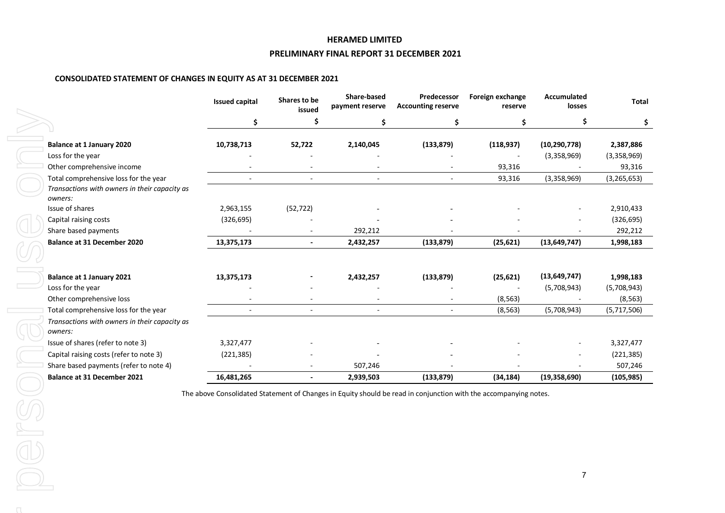#### **PRELIMINARY FINAL REPORT 31 DECEMBER 2021**

#### **CONSOLIDATED STATEMENT OF CHANGES IN EQUITY AS AT 31 DECEMBER 2021**

|                                                                                                   | <b>Issued capital</b> | Shares to be<br>issued | Share-based<br>payment reserve | Predecessor<br><b>Accounting reserve</b> | Foreign exchange<br>reserve | <b>Accumulated</b><br>losses | <b>Total</b>          |
|---------------------------------------------------------------------------------------------------|-----------------------|------------------------|--------------------------------|------------------------------------------|-----------------------------|------------------------------|-----------------------|
|                                                                                                   | \$                    | Ś                      | Ś                              | \$                                       | Ś                           |                              | \$                    |
| <b>Balance at 1 January 2020</b>                                                                  | 10,738,713            | 52,722                 | 2,140,045                      | (133, 879)                               | (118, 937)                  | (10, 290, 778)               | 2,387,886             |
| Loss for the year<br>Other comprehensive income                                                   |                       |                        |                                |                                          | 93,316                      | (3,358,969)                  | (3,358,969)<br>93,316 |
| Total comprehensive loss for the year<br>Transactions with owners in their capacity as<br>owners: |                       |                        |                                |                                          | 93,316                      | (3,358,969)                  | (3, 265, 653)         |
| Issue of shares                                                                                   | 2,963,155             | (52, 722)              |                                |                                          |                             |                              | 2,910,433             |
| Capital raising costs                                                                             | (326, 695)            |                        |                                |                                          |                             |                              | (326, 695)            |
| Share based payments                                                                              |                       |                        | 292,212                        |                                          |                             |                              | 292,212               |
| <b>Balance at 31 December 2020</b>                                                                | 13,375,173            | $\blacksquare$         | 2,432,257                      | (133, 879)                               | (25, 621)                   | (13, 649, 747)               | 1,998,183             |
| Balance at 1 January 2021                                                                         | 13,375,173            |                        | 2,432,257                      | (133, 879)                               | (25, 621)                   | (13, 649, 747)               | 1,998,183             |
| Loss for the year                                                                                 |                       |                        |                                |                                          |                             | (5,708,943)                  | (5,708,943)           |
| Other comprehensive loss                                                                          |                       |                        |                                |                                          | (8, 563)                    |                              | (8, 563)              |
| Total comprehensive loss for the year                                                             |                       |                        | $\sim$                         | $\sim$                                   | (8, 563)                    | (5,708,943)                  | (5,717,506)           |
| Transactions with owners in their capacity as<br>owners:                                          |                       |                        |                                |                                          |                             |                              |                       |
| Issue of shares (refer to note 3)                                                                 | 3,327,477             |                        |                                |                                          |                             |                              | 3,327,477             |
| Capital raising costs (refer to note 3)                                                           | (221, 385)            |                        |                                |                                          |                             |                              | (221, 385)            |
| Share based payments (refer to note 4)                                                            |                       |                        | 507,246                        |                                          |                             |                              | 507,246               |
| <b>Balance at 31 December 2021</b>                                                                | 16,481,265            |                        | 2,939,503                      | (133, 879)                               | (34, 184)                   | (19, 358, 690)               | (105, 985)            |

The above Consolidated Statement of Changes in Equity should be read in conjunction with the accompanying notes.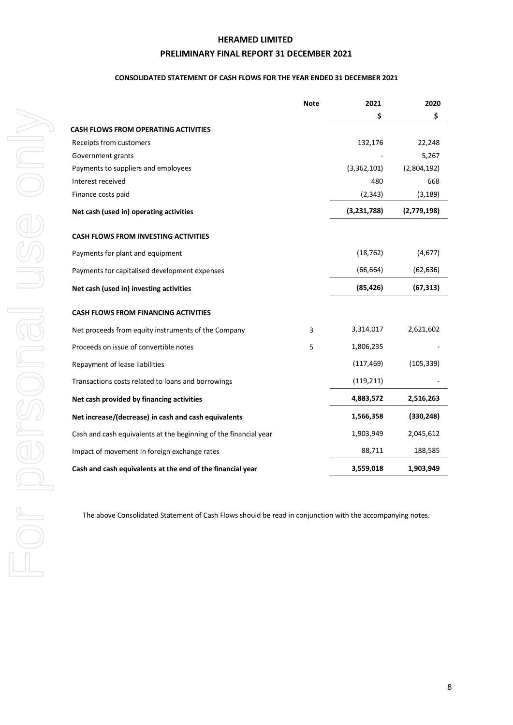## **PRELIMINARY FINAL REPORT 31 DECEMBER 2021**

#### **CONSOLIDATED STATEMENT OF CASH FLOWS FOR THE YEAR ENDED 31 DECEMBER 2021**

|                                                                  | <b>Note</b> | 2021        | 2020        |
|------------------------------------------------------------------|-------------|-------------|-------------|
|                                                                  |             | \$          | \$          |
| <b>CASH FLOWS FROM OPERATING ACTIVITIES</b>                      |             |             |             |
| Receipts from customers                                          |             | 132,176     | 22,248      |
| Government grants                                                |             |             | 5,267       |
| Payments to suppliers and employees                              |             | (3,362,101) | (2,804,192) |
| Interest received                                                |             | 480         | 668         |
| Finance costs paid                                               |             | (2, 343)    | (3, 189)    |
| Net cash (used in) operating activities                          |             | (3,231,788) | (2,779,198) |
| <b>CASH FLOWS FROM INVESTING ACTIVITIES</b>                      |             |             |             |
| Payments for plant and equipment                                 |             | (18, 762)   | (4,677)     |
| Payments for capitalised development expenses                    |             | (66, 664)   | (62, 636)   |
| Net cash (used in) investing activities                          |             | (85, 426)   | (67, 313)   |
| <b>CASH FLOWS FROM FINANCING ACTIVITIES</b>                      |             |             |             |
| Net proceeds from equity instruments of the Company              | 3           | 3,314,017   | 2,621,602   |
| Proceeds on issue of convertible notes                           | 5           | 1,806,235   |             |
| Repayment of lease liabilities                                   |             | (117, 469)  | (105, 339)  |
| Transactions costs related to loans and borrowings               |             | (119, 211)  |             |
| Net cash provided by financing activities                        |             | 4,883,572   | 2,516,263   |
| Net increase/(decrease) in cash and cash equivalents             |             | 1,566,358   | (330, 248)  |
| Cash and cash equivalents at the beginning of the financial year |             | 1,903,949   | 2,045,612   |
| Impact of movement in foreign exchange rates                     |             | 88,711      | 188,585     |
| Cash and cash equivalents at the end of the financial year       |             | 3,559,018   | 1,903,949   |
|                                                                  |             |             |             |

The above Consolidated Statement of Cash Flows should be read in conjunction with the accompanying notes.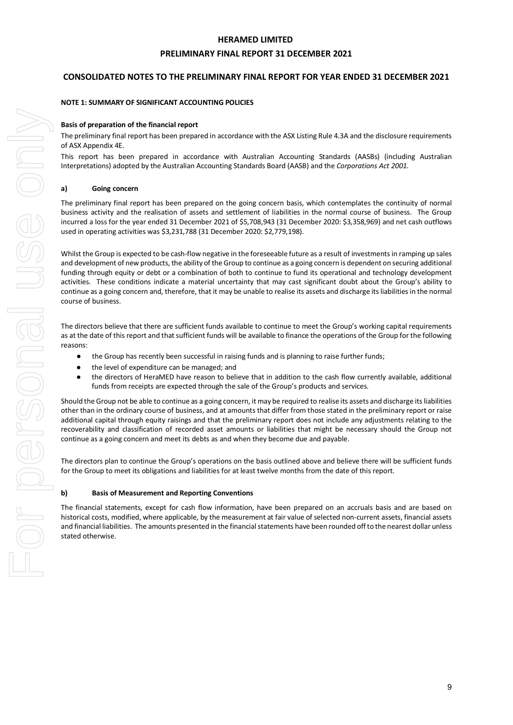#### **PRELIMINARY FINAL REPORT 31 DECEMBER 2021**

#### **CONSOLIDATED NOTES TO THE PRELIMINARY FINAL REPORT FOR YEAR ENDED 31 DECEMBER 2021**

#### **NOTE 1: SUMMARY OF SIGNIFICANT ACCOUNTING POLICIES**

#### **Basis of preparation of the financial report**

The preliminary final report has been prepared in accordance with the ASX Listing Rule 4.3A and the disclosure requirements of ASX Appendix 4E.

This report has been prepared in accordance with Australian Accounting Standards (AASBs) (including Australian Interpretations) adopted by the Australian Accounting Standards Board (AASB) and the *Corporations Act 2001*.

#### **a) Going concern**

The preliminary final report has been prepared on the going concern basis, which contemplates the continuity of normal business activity and the realisation of assets and settlement of liabilities in the normal course of business. The Group incurred a loss for the year ended 31 December 2021 of \$5,708,943 (31 December 2020: \$3,358,969) and net cash outflows used in operating activities was \$3,231,788 (31 December 2020: \$2,779,198).

Whilst the Group is expected to be cash-flow negative in the foreseeable future as a result of investments in ramping up sales and development of new products, the ability of the Group to continue as a going concern is dependent on securing additional funding through equity or debt or a combination of both to continue to fund its operational and technology development activities. These conditions indicate a material uncertainty that may cast significant doubt about the Group's ability to continue as a going concern and, therefore, that it may be unable to realise its assets and discharge its liabilities in the normal course of business.

The directors believe that there are sufficient funds available to continue to meet the Group's working capital requirements as at the date of this report and that sufficient funds will be available to finance the operations of the Group for the following reasons:

- the Group has recently been successful in raising funds and is planning to raise further funds;
- the level of expenditure can be managed; and
- the directors of HeraMED have reason to believe that in addition to the cash flow currently available, additional funds from receipts are expected through the sale of the Group's products and services.

Should the Group not be able to continue as a going concern, it may be required to realise its assets and discharge its liabilities other than in the ordinary course of business, and at amounts that differ from those stated in the preliminary report or raise additional capital through equity raisings and that the preliminary report does not include any adjustments relating to the recoverability and classification of recorded asset amounts or liabilities that might be necessary should the Group not continue as a going concern and meet its debts as and when they become due and payable.

The directors plan to continue the Group's operations on the basis outlined above and believe there will be sufficient funds for the Group to meet its obligations and liabilities for at least twelve months from the date of this report.

#### **b) Basis of Measurement and Reporting Conventions**

The financial statements, except for cash flow information, have been prepared on an accruals basis and are based on historical costs, modified, where applicable, by the measurement at fair value of selected non-current assets, financial assets and financial liabilities. The amounts presented in the financial statements have been rounded off to the nearest dollar unless stated otherwise.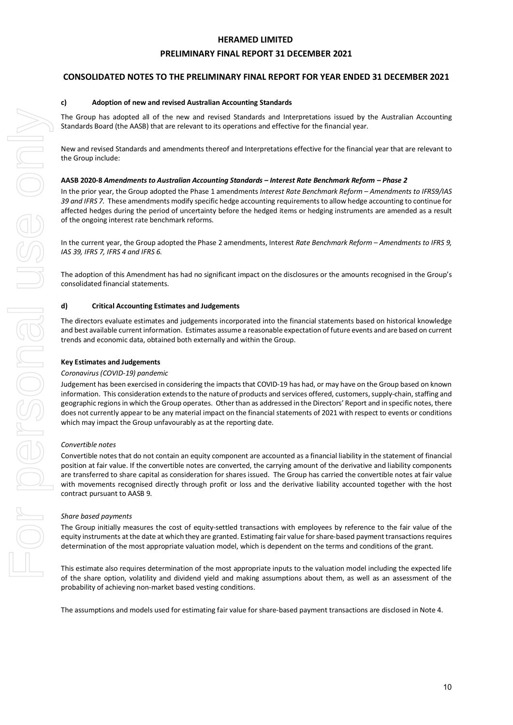#### **PRELIMINARY FINAL REPORT 31 DECEMBER 2021**

#### **CONSOLIDATED NOTES TO THE PRELIMINARY FINAL REPORT FOR YEAR ENDED 31 DECEMBER 2021**

#### **c) Adoption of new and revised Australian Accounting Standards**

The Group has adopted all of the new and revised Standards and Interpretations issued by the Australian Accounting Standards Board (the AASB) that are relevant to its operations and effective for the financial year.

New and revised Standards and amendments thereof and Interpretations effective for the financial year that are relevant to the Group include:

#### **AASB 2020-8** *Amendments to Australian Accounting Standards – Interest Rate Benchmark Reform – Phase 2*

In the prior year, the Group adopted the Phase 1 amendments *Interest Rate Benchmark Reform – Amendments to IFRS9/IAS 39 and IFRS 7.* These amendments modify specific hedge accounting requirements to allow hedge accounting to continue for affected hedges during the period of uncertainty before the hedged items or hedging instruments are amended as a result of the ongoing interest rate benchmark reforms.

In the current year, the Group adopted the Phase 2 amendments, Interest *Rate Benchmark Reform – Amendments to IFRS 9, IAS 39, IFRS 7, IFRS 4 and IFRS 6.*

The adoption of this Amendment has had no significant impact on the disclosures or the amounts recognised in the Group's consolidated financial statements.

#### **d) Critical Accounting Estimates and Judgements**

The directors evaluate estimates and judgements incorporated into the financial statements based on historical knowledge and best available current information. Estimates assume a reasonable expectation of future events and are based on current trends and economic data, obtained both externally and within the Group.

#### **Key Estimates and Judgements**

#### *Coronavirus (COVID-19) pandemic*

Judgement has been exercised in considering the impacts that COVID-19 has had, or may have on the Group based on known information. This consideration extends to the nature of products and services offered, customers, supply-chain, staffing and geographic regions in which the Group operates. Other than as addressed in the Directors' Report and in specific notes, there does not currently appear to be any material impact on the financial statements of 2021 with respect to events or conditions which may impact the Group unfavourably as at the reporting date.

#### *Convertible notes*

Convertible notes that do not contain an equity component are accounted as a financial liability in the statement of financial position at fair value. If the convertible notes are converted, the carrying amount of the derivative and liability components are transferred to share capital as consideration for shares issued. The Group has carried the convertible notes at fair value with movements recognised directly through profit or loss and the derivative liability accounted together with the host contract pursuant to AASB 9.

#### *Share based payments*

The Group initially measures the cost of equity-settled transactions with employees by reference to the fair value of the equity instruments at the date at which they are granted. Estimating fair value for share-based payment transactions requires determination of the most appropriate valuation model, which is dependent on the terms and conditions of the grant.

This estimate also requires determination of the most appropriate inputs to the valuation model including the expected life of the share option, volatility and dividend yield and making assumptions about them, as well as an assessment of the probability of achieving non-market based vesting conditions.

The assumptions and models used for estimating fair value for share-based payment transactions are disclosed in Note 4.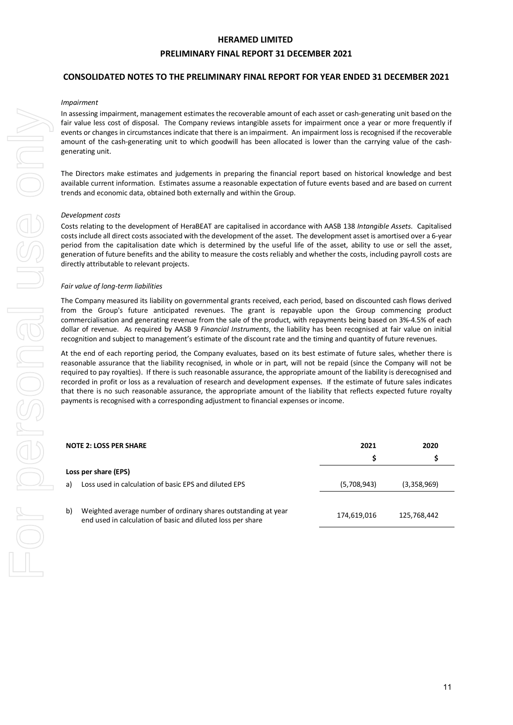#### **PRELIMINARY FINAL REPORT 31 DECEMBER 2021**

#### **CONSOLIDATED NOTES TO THE PRELIMINARY FINAL REPORT FOR YEAR ENDED 31 DECEMBER 2021**

#### *Impairment*

In assessing impairment, management estimates the recoverable amount of each asset or cash-generating unit based on the fair value less cost of disposal. The Company reviews intangible assets for impairment once a year or more frequently if events or changes in circumstances indicate that there is an impairment. An impairment loss is recognised if the recoverable amount of the cash-generating unit to which goodwill has been allocated is lower than the carrying value of the cashgenerating unit.

The Directors make estimates and judgements in preparing the financial report based on historical knowledge and best available current information. Estimates assume a reasonable expectation of future events based and are based on current trends and economic data, obtained both externally and within the Group.

#### *Development costs*

Costs relating to the development of HeraBEAT are capitalised in accordance with AASB 138 *Intangible Assets*. Capitalised costs include all direct costs associated with the development of the asset. The development asset is amortised over a 6-year period from the capitalisation date which is determined by the useful life of the asset, ability to use or sell the asset, generation of future benefits and the ability to measure the costs reliably and whether the costs, including payroll costs are directly attributable to relevant projects.

#### *Fair value of long-term liabilities*

The Company measured its liability on governmental grants received, each period, based on discounted cash flows derived from the Group's future anticipated revenues. The grant is repayable upon the Group commencing product commercialisation and generating revenue from the sale of the product, with repayments being based on 3%-4.5% of each dollar of revenue. As required by AASB 9 *Financial Instruments*, the liability has been recognised at fair value on initial recognition and subject to management's estimate of the discount rate and the timing and quantity of future revenues.

At the end of each reporting period, the Company evaluates, based on its best estimate of future sales, whether there is reasonable assurance that the liability recognised, in whole or in part, will not be repaid (since the Company will not be required to pay royalties). If there is such reasonable assurance, the appropriate amount of the liability is derecognised and recorded in profit or loss as a revaluation of research and development expenses. If the estimate of future sales indicates that there is no such reasonable assurance, the appropriate amount of the liability that reflects expected future royalty payments is recognised with a corresponding adjustment to financial expenses or income.

|    | 2021<br><b>NOTE 2: LOSS PER SHARE</b>                                                                                         |             | 2020        |
|----|-------------------------------------------------------------------------------------------------------------------------------|-------------|-------------|
|    |                                                                                                                               | s           |             |
|    | Loss per share (EPS)                                                                                                          |             |             |
| a) | Loss used in calculation of basic EPS and diluted EPS                                                                         | (5,708,943) | (3,358,969) |
|    |                                                                                                                               |             |             |
| b) | Weighted average number of ordinary shares outstanding at year<br>end used in calculation of basic and diluted loss per share | 174,619,016 | 125,768,442 |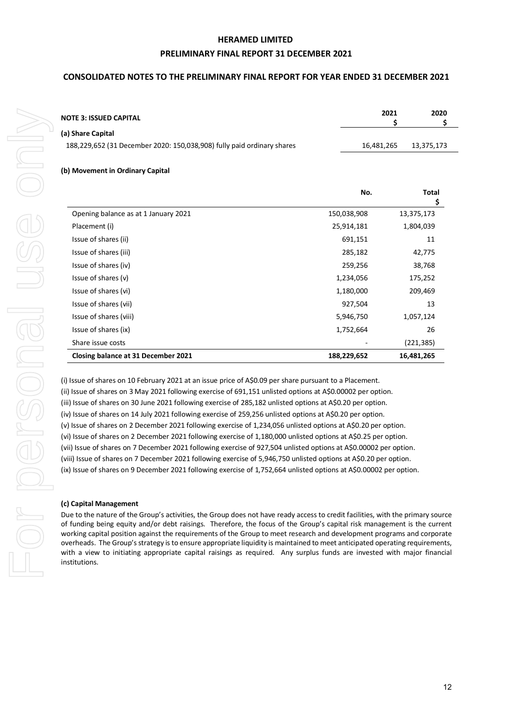#### **PRELIMINARY FINAL REPORT 31 DECEMBER 2021**

#### **CONSOLIDATED NOTES TO THE PRELIMINARY FINAL REPORT FOR YEAR ENDED 31 DECEMBER 2021**

| <b>NOTE 3: ISSUED CAPITAL</b>                                          | 2021       | 2020       |
|------------------------------------------------------------------------|------------|------------|
| (a) Share Capital                                                      |            |            |
| 188,229,652 (31 December 2020: 150,038,908) fully paid ordinary shares | 16.481.265 | 13.375.173 |
|                                                                        |            |            |

#### **(b) Movement in Ordinary Capital**

|                                      | No.         | Total<br>\$ |
|--------------------------------------|-------------|-------------|
| Opening balance as at 1 January 2021 | 150,038,908 | 13,375,173  |
| Placement (i)                        | 25,914,181  | 1,804,039   |
| Issue of shares (ii)                 | 691,151     | 11          |
| Issue of shares (iii)                | 285,182     | 42,775      |
| Issue of shares (iv)                 | 259,256     | 38,768      |
| Issue of shares (v)                  | 1,234,056   | 175,252     |
| Issue of shares (vi)                 | 1,180,000   | 209,469     |
| Issue of shares (vii)                | 927,504     | 13          |
| Issue of shares (viii)               | 5,946,750   | 1,057,124   |
| Issue of shares (ix)                 | 1,752,664   | 26          |
| Share issue costs                    |             | (221, 385)  |
| Closing balance at 31 December 2021  | 188,229,652 | 16,481,265  |

(i) Issue of shares on 10 February 2021 at an issue price of A\$0.09 per share pursuant to a Placement. (ii) Issue of shares on 3 May 2021 following exercise of 691,151 unlisted options at A\$0.00002 per option. (iii) Issue of shares on 30 June 2021 following exercise of 285,182 unlisted options at A\$0.20 per option. (iv) Issue of shares on 14 July 2021 following exercise of 259,256 unlisted options at A\$0.20 per option. (v) Issue of shares on 2 December 2021 following exercise of 1,234,056 unlisted options at A\$0.20 per option. (vi) Issue of shares on 2 December 2021 following exercise of 1,180,000 unlisted options at A\$0.25 per option. (vii) Issue of shares on 7 December 2021 following exercise of 927,504 unlisted options at A\$0.00002 per option. (viii) Issue of shares on 7 December 2021 following exercise of 5,946,750 unlisted options at A\$0.20 per option. (ix) Issue of shares on 9 December 2021 following exercise of 1,752,664 unlisted options at A\$0.00002 per option.

#### **(c) Capital Management**

Due to the nature of the Group's activities, the Group does not have ready access to credit facilities, with the primary source of funding being equity and/or debt raisings. Therefore, the focus of the Group's capital risk management is the current working capital position against the requirements of the Group to meet research and development programs and corporate overheads. The Group's strategy is to ensure appropriate liquidity is maintained to meet anticipated operating requirements, with a view to initiating appropriate capital raisings as required. Any surplus funds are invested with major financial institutions.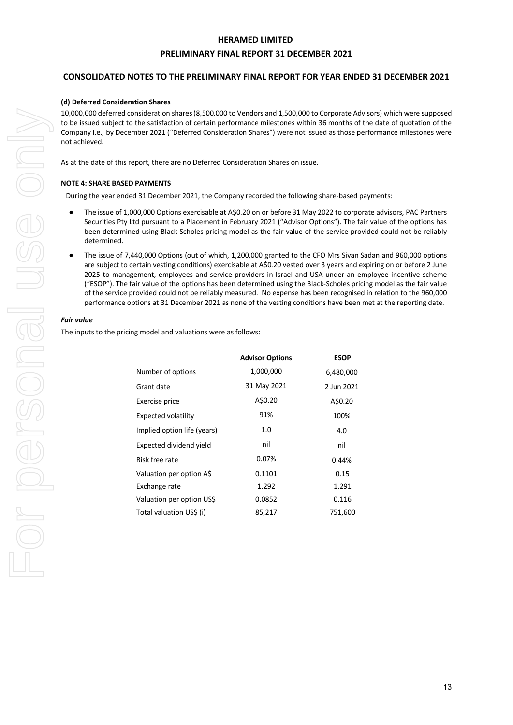#### **PRELIMINARY FINAL REPORT 31 DECEMBER 2021**

#### **CONSOLIDATED NOTES TO THE PRELIMINARY FINAL REPORT FOR YEAR ENDED 31 DECEMBER 2021**

#### **(d) Deferred Consideration Shares**

10,000,000 deferred consideration shares (8,500,000 to Vendors and 1,500,000 to Corporate Advisors) which were supposed to be issued subject to the satisfaction of certain performance milestones within 36 months of the date of quotation of the Company i.e., by December 2021 ("Deferred Consideration Shares") were not issued as those performance milestones were not achieved.

As at the date of this report, there are no Deferred Consideration Shares on issue.

#### **NOTE 4: SHARE BASED PAYMENTS**

During the year ended 31 December 2021, the Company recorded the following share-based payments:

- The issue of 1,000,000 Options exercisable at A\$0.20 on or before 31 May 2022 to corporate advisors, PAC Partners Securities Pty Ltd pursuant to a Placement in February 2021 ("Advisor Options"). The fair value of the options has been determined using Black-Scholes pricing model as the fair value of the service provided could not be reliably determined.
- The issue of 7,440,000 Options (out of which, 1,200,000 granted to the CFO Mrs Sivan Sadan and 960,000 options are subject to certain vesting conditions) exercisable at A\$0.20 vested over 3 years and expiring on or before 2 June 2025 to management, employees and service providers in Israel and USA under an employee incentive scheme ("ESOP"). The fair value of the options has been determined using the Black-Scholes pricing model as the fair value of the service provided could not be reliably measured. No expense has been recognised in relation to the 960,000 performance options at 31 December 2021 as none of the vesting conditions have been met at the reporting date.

#### *Fair value*

The inputs to the pricing model and valuations were as follows:

|                             | <b>Advisor Options</b> | <b>ESOP</b> |
|-----------------------------|------------------------|-------------|
| Number of options           | 1,000,000              | 6,480,000   |
| Grant date                  | 31 May 2021            | 2 Jun 2021  |
| Exercise price              | A\$0.20                | A\$0.20     |
| <b>Expected volatility</b>  | 91%                    | 100%        |
| Implied option life (years) | 1.0                    | 4.0         |
| Expected dividend yield     | nil                    | nil         |
| Risk free rate              | 0.07%                  | 0.44%       |
| Valuation per option A\$    | 0.1101                 | 0.15        |
| Exchange rate               | 1.292                  | 1.291       |
| Valuation per option US\$   | 0.0852                 | 0.116       |
| Total valuation US\$ (i)    | 85,217                 | 751,600     |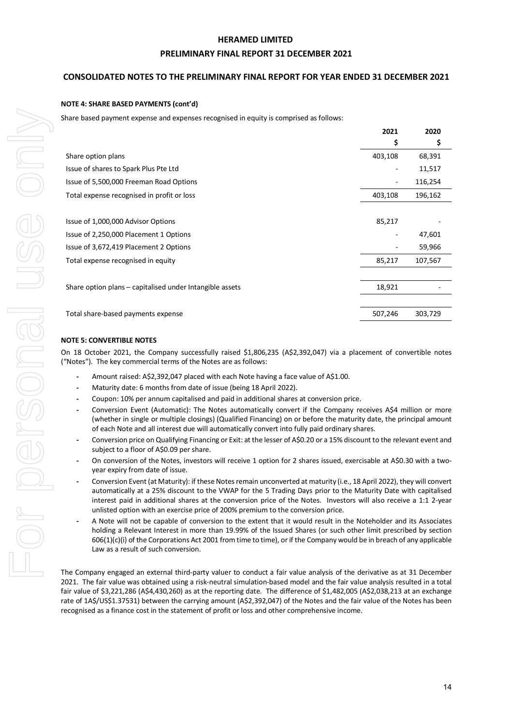#### **PRELIMINARY FINAL REPORT 31 DECEMBER 2021**

#### **CONSOLIDATED NOTES TO THE PRELIMINARY FINAL REPORT FOR YEAR ENDED 31 DECEMBER 2021**

#### **NOTE 4: SHARE BASED PAYMENTS (cont'd)**

Share based payment expense and expenses recognised in equity is comprised as follows:

|                                                          | 2021                     | 2020    |
|----------------------------------------------------------|--------------------------|---------|
|                                                          | \$                       | \$      |
| Share option plans                                       | 403,108                  | 68,391  |
| Issue of shares to Spark Plus Pte Ltd                    |                          | 11,517  |
| Issue of 5,500,000 Freeman Road Options                  |                          | 116,254 |
| Total expense recognised in profit or loss               | 403,108                  | 196,162 |
|                                                          |                          |         |
| Issue of 1,000,000 Advisor Options                       | 85,217                   |         |
| Issue of 2,250,000 Placement 1 Options                   | $\overline{\phantom{a}}$ | 47,601  |
| Issue of 3,672,419 Placement 2 Options                   |                          | 59,966  |
| Total expense recognised in equity                       | 85,217                   | 107,567 |
|                                                          |                          |         |
| Share option plans - capitalised under Intangible assets | 18,921                   |         |
|                                                          |                          |         |
| Total share-based payments expense                       | 507,246                  | 303,729 |

#### **NOTE 5: CONVERTIBLE NOTES**

On 18 October 2021, the Company successfully raised \$1,806,235 (A\$2,392,047) via a placement of convertible notes ("Notes"). The key commercial terms of the Notes are as follows:

- **-** Amount raised: A\$2,392,047 placed with each Note having a face value of A\$1.00.
- **-** Maturity date: 6 months from date of issue (being 18 April 2022).
- **-** Coupon: 10% per annum capitalised and paid in additional shares at conversion price.
- **-** Conversion Event (Automatic): The Notes automatically convert if the Company receives A\$4 million or more (whether in single or multiple closings) (Qualified Financing) on or before the maturity date, the principal amount of each Note and all interest due will automatically convert into fully paid ordinary shares.
- **-** Conversion price on Qualifying Financing or Exit: at the lesser of A\$0.20 or a 15% discount to the relevant event and subject to a floor of A\$0.09 per share.
- **-** On conversion of the Notes, investors will receive 1 option for 2 shares issued, exercisable at A\$0.30 with a twoyear expiry from date of issue.
- **-** Conversion Event (at Maturity): if these Notes remain unconverted at maturity (i.e., 18 April 2022), they will convert automatically at a 25% discount to the VWAP for the 5 Trading Days prior to the Maturity Date with capitalised interest paid in additional shares at the conversion price of the Notes. Investors will also receive a 1:1 2-year unlisted option with an exercise price of 200% premium to the conversion price.
- **-** A Note will not be capable of conversion to the extent that it would result in the Noteholder and its Associates holding a Relevant Interest in more than 19.99% of the Issued Shares (or such other limit prescribed by section  $606(1)(c)(i)$  of the Corporations Act 2001 from time to time), or if the Company would be in breach of any applicable Law as a result of such conversion.

The Company engaged an external third-party valuer to conduct a fair value analysis of the derivative as at 31 December 2021. The fair value was obtained using a risk-neutral simulation-based model and the fair value analysis resulted in a total fair value of \$3,221,286 (A\$4,430,260) as at the reporting date. The difference of \$1,482,005 (A\$2,038,213 at an exchange rate of 1A\$/US\$1.37531) between the carrying amount (A\$2,392,047) of the Notes and the fair value of the Notes has been recognised as a finance cost in the statement of profit or loss and other comprehensive income.